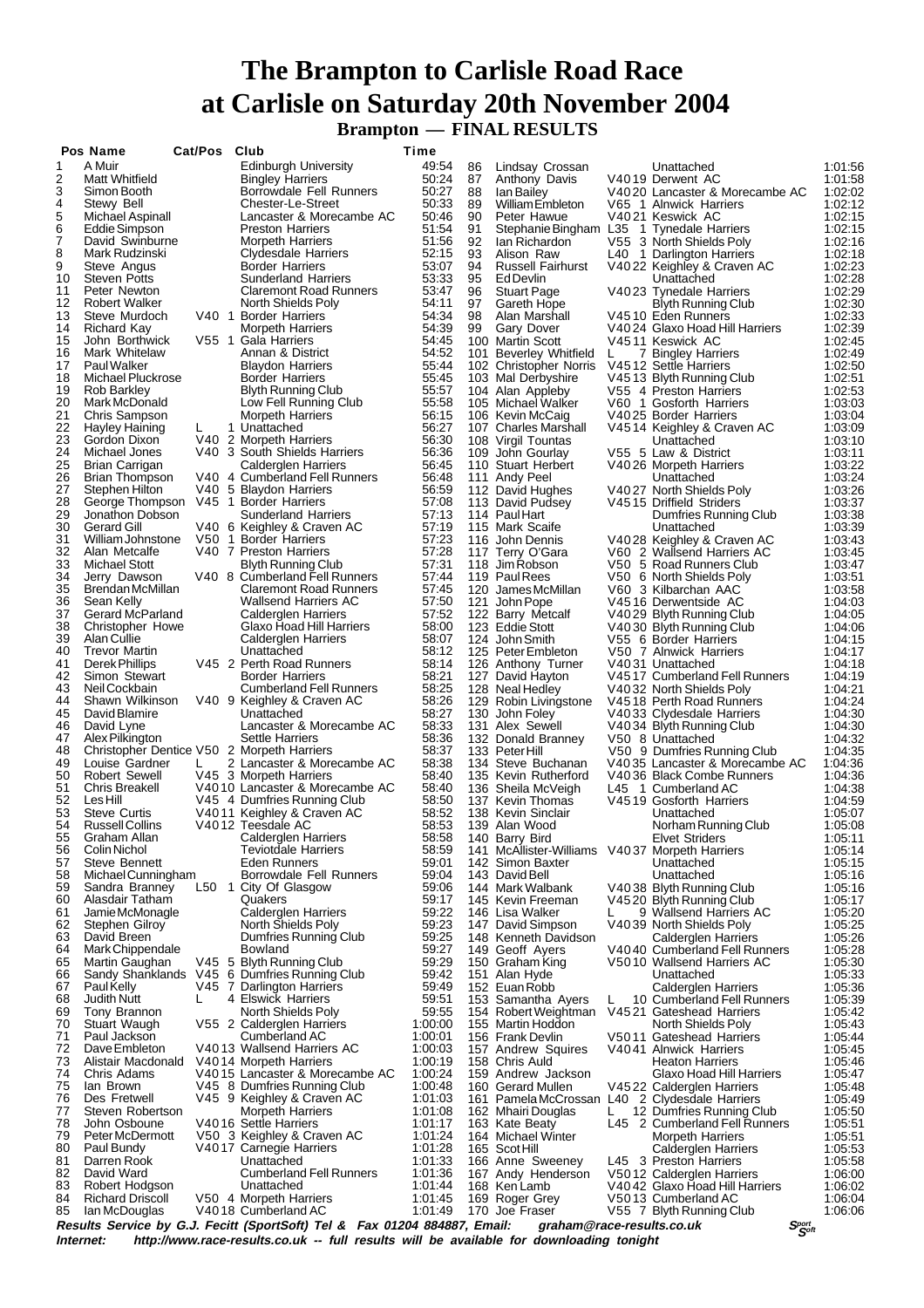## **The Brampton to Carlisle Road Race at Carlisle on Saturday 20th November 2004 Brampton — FINAL RESULTS**

|               | Pos Name                                 | Cat/Pos Club |    |                                                                                         | Time               |          |                                                            |    |                                                                            |                                |                    |
|---------------|------------------------------------------|--------------|----|-----------------------------------------------------------------------------------------|--------------------|----------|------------------------------------------------------------|----|----------------------------------------------------------------------------|--------------------------------|--------------------|
| 1             | A Muir                                   |              |    | Edinburgh University                                                                    | 49:54              | 86       | Lindsay Crossan                                            |    | Unattached                                                                 |                                | 1:01:56            |
| $\frac{2}{3}$ | Matt Whitfield<br>Simon Booth            |              |    | <b>Bingley Harriers</b><br>Borrowdale Fell Runners                                      | 50:24<br>50:27     | 87<br>88 | Anthony Davis<br>lan Bailey                                |    | V4019 Derwent AC<br>V4020 Lancaster & Morecambe AC                         |                                | 1:01:58<br>1:02:02 |
| 4             | Stewy Bell                               |              |    | Chester-Le-Street                                                                       | 50:33              | 89       | William Embleton                                           |    | V65 1 Alnwick Harriers                                                     |                                | 1:02:12            |
| 5             | <b>Michael Aspinall</b>                  |              |    | Lancaster & Morecambe AC                                                                | 50:46              | 90       | Peter Hawue                                                |    | V4021 Keswick AC                                                           |                                | 1:02:15            |
| 6<br>7        | Eddie Simpson<br>David Swinburne         |              |    | <b>Preston Harriers</b><br><b>Morpeth Harriers</b>                                      | 51:54<br>51:56     | 91<br>92 | Stephanie Bingham L35 1 Tynedale Harriers<br>lan Richardon |    | V55 3 North Shields Poly                                                   |                                | 1:02:15<br>1:02:16 |
| 8             | Mark Rudzinski                           |              |    | Clydesdale Harriers                                                                     | 52:15              | 93       | Alison Raw                                                 |    | L40 1 Darlington Harriers                                                  |                                | 1:02:18            |
| 9             | Steve Angus                              |              |    | Border Harriers                                                                         | 53:07              | 94       | <b>Russell Fairhurst</b>                                   |    | V4022 Keighley & Craven AC                                                 |                                | 1:02:23            |
| 10<br>11      | <b>Steven Potts</b><br>Peter Newton      |              |    | <b>Sunderland Harriers</b><br><b>Claremont Road Runners</b>                             | 53:33<br>53:47     | 95<br>96 | Ed Devlin<br><b>Stuart Page</b>                            |    | Unattached<br>V4023 Tynedale Harriers                                      |                                | 1:02:28<br>1:02:29 |
| 12            | Robert Walker                            |              |    | North Shields Poly                                                                      | 54:11              | 97       | Gareth Hope                                                |    | Blyth Running Club                                                         |                                | 1:02:30            |
| 13            | Steve Murdoch                            |              |    | V40 1 Border Harriers                                                                   | 54:34              | 98       | Alan Marshall                                              |    | V4510 Eden Runners                                                         |                                | 1:02:33            |
| 14<br>15      | <b>Richard Kay</b><br>John Borthwick     |              |    | <b>Morpeth Harriers</b><br>V55 1 Gala Harriers                                          | 54:39<br>54:45     | 99       | <b>Gary Dover</b><br>100 Martin Scott                      |    | V4024 Glaxo Hoad Hill Harriers<br>V4511 Keswick AC                         |                                | 1:02:39<br>1:02:45 |
| 16            | Mark Whitelaw                            |              |    | Annan & District                                                                        | 54:52              |          | 101 Beverley Whitfield                                     | L. | 7 Bingley Harriers                                                         |                                | 1:02:49            |
| 17            | Paul Walker                              |              |    | <b>Blaydon Harriers</b>                                                                 | 55:44              |          | 102 Christopher Norris                                     |    | V4512 Settle Harriers                                                      |                                | 1:02:50            |
| 18<br>19      | Michael Pluckrose<br>Rob Barkley         |              |    | <b>Border Harriers</b><br>Blyth Running Club                                            | 55:45<br>55:57     |          | 103 Mal Derbyshire<br>104 Alan Appleby                     |    | V4513 Blyth Running Club<br>V55 4 Preston Harriers                         |                                | 1:02:51<br>1:02:53 |
| 20            | Mark McDonald                            |              |    | Low Fell Running Club                                                                   | 55:58              |          | 105 Michael Walker                                         |    | V60 1 Gosforth Harriers                                                    |                                | 1:03:03            |
| 21            | Chris Sampson                            |              |    | <b>Morpeth Harriers</b>                                                                 | 56:15              |          | 106 Kevin McCaig                                           |    | V4025 Border Harriers                                                      |                                | 1:03:04            |
| 22<br>23      | Hayley Haining<br>Gordon Dixon           | L            |    | 1 Unattached<br>V40 2 Morpeth Harriers                                                  | 56:27<br>56:30     |          | 107 Charles Marshall<br>108 Virgil Tountas                 |    | V4514 Keighley & Craven AC<br>Unattached                                   |                                | 1:03:09<br>1:03:10 |
| 24            | Michael Jones                            |              |    | V40 3 South Shields Harriers                                                            | 56:36              |          | 109 John Gourlay                                           |    | V55 5 Law & District                                                       |                                | 1:03:11            |
| 25            | <b>Brian Carrigan</b>                    |              |    | Calderglen Harriers                                                                     | 56:45              |          | 110 Stuart Herbert                                         |    | V4026 Morpeth Harriers                                                     |                                | 1:03:22            |
| 26<br>27      | <b>Brian Thompson</b><br>Stephen Hilton  |              |    | V40 4 Cumberland Fell Runners<br>V40 5 Blaydon Harriers                                 | 56:48<br>56:59     |          | 111 Andy Peel<br>112 David Hughes                          |    | Unattached<br>V4027 North Shields Poly                                     |                                | 1:03:24<br>1:03:26 |
| 28            | George Thompson                          |              |    | V45 1 Border Harriers                                                                   | 57:08              |          | 113 David Pudsey                                           |    | V4515 Driffield Striders                                                   |                                | 1:03:37            |
| 29            | Jonathon Dobson                          |              |    | Sunderland Harriers                                                                     | 57:13              |          | 114 Paul Hart                                              |    | Dumfries Running Club                                                      |                                | 1:03:38            |
| 30<br>31      | <b>Gerard Gill</b>                       |              |    | V40 6 Keighley & Craven AC                                                              | 57:19              |          | 115 Mark Scaife                                            |    | Unattached                                                                 |                                | 1:03:39            |
| 32            | William Johnstone<br>Alan Metcalfe       |              |    | V50 1 Border Harriers<br>V40 7 Preston Harriers                                         | 57:23<br>57:28     |          | 116 John Dennis<br>117 Terry O'Gara                        |    | V4028 Keighley & Craven AC<br>V60 2 Wallsend Harriers AC                   |                                | 1:03:43<br>1:03:45 |
| 33            | <b>Michael Stott</b>                     |              |    | <b>Blyth Running Club</b>                                                               | 57:31              |          | 118 Jim Robson                                             |    | V50 5 Road Runners Club                                                    |                                | 1:03:47            |
| 34            | Jerry Dawson                             |              |    | V40 8 Cumberland Fell Runners                                                           | 57:44              |          | 119 Paul Rees                                              |    | V50 6 North Shields Poly                                                   |                                | 1:03:51            |
| 35<br>36      | Brendan McMillan<br>Sean Kelly           |              |    | <b>Claremont Road Runners</b><br><b>Wallsend Harriers AC</b>                            | 57:45<br>57:50     | 121      | 120 James McMillan<br>John Pope                            |    | V60 3 Kilbarchan AAC<br>V4516 Derwentside AC                               |                                | 1:03:58<br>1:04:03 |
| 37            | Gerard McParland                         |              |    | Calderglen Harriers                                                                     | 57:52              |          | 122 Barry Metcalf                                          |    | V4029 Blyth Running Club                                                   |                                | 1:04:05            |
| 38            | Christopher Howe                         |              |    | Glaxo Hoad Hill Harriers                                                                | 58:00              |          | 123 Eddie Stott                                            |    | V4030 Blyth Running Club                                                   |                                | 1:04:06            |
| 39<br>40      | Alan Cullie<br><b>Trevor Martin</b>      |              |    | Calderglen Harriers<br>Unattached                                                       | 58:07<br>58:12     |          | 124 John Smith<br>125 Peter Embleton                       |    | V55 6 Border Harriers<br>V50 7 Alnwick Harriers                            |                                | 1:04:15<br>1:04:17 |
| 41            | Derek Phillips                           |              |    | V45 2 Perth Road Runners                                                                | 58:14              |          | 126 Anthony Turner                                         |    | V4031 Unattached                                                           |                                | 1:04:18            |
| 42            | Simon Stewart                            |              |    | <b>Border Harriers</b>                                                                  | 58:21              |          | 127 David Hayton                                           |    | V4517 Cumberland Fell Runners                                              |                                | 1:04:19            |
| 43<br>44      | Neil Cockbain<br>Shawn Wilkinson         |              |    | <b>Cumberland Fell Runners</b><br>V40 9 Keighley & Craven AC                            | 58:25<br>58:26     |          | 128 Neal Hedley<br>129 Robin Livingstone                   |    | V4032 North Shields Poly<br>V4518 Perth Road Runners                       |                                | 1:04:21<br>1:04:24 |
| 45            | David Blamire                            |              |    | Unattached                                                                              | 58:27              |          | 130 John Foley                                             |    | V4033 Clydesdale Harriers                                                  |                                | 1:04:30            |
| 46            | David Lyne                               |              |    | Lancaster & Morecambe AC                                                                | 58:33              |          | 131 Alex Sewell                                            |    | V4034 Blyth Running Club                                                   |                                | 1:04:30            |
| 47<br>48      | Alex Pilkington                          |              |    | <b>Settle Harriers</b><br>Christopher Dentice V50 2 Morpeth Harriers                    | 58:36<br>58:37     |          | 132 Donald Branney<br>133 PeterHill                        |    | V50 8 Unattached<br>V50 9 Dumfries Running Club                            |                                | 1:04:32<br>1:04:35 |
| 49            | Louise Gardner                           |              | L. | 2 Lancaster & Morecambe AC                                                              | 58:38              |          | 134 Steve Buchanan                                         |    | V4035 Lancaster & Morecambe AC                                             |                                | 1:04:36            |
| 50            | Robert Sewell                            |              |    | V45 3 Morpeth Harriers                                                                  | 58:40              |          | 135 Kevin Rutherford                                       |    | V4036 Black Combe Runners                                                  |                                | 1:04:36            |
| 51<br>52      | Chris Breakell<br>Les Hill               |              |    | V4010 Lancaster & Morecambe AC<br>V45 4 Dumfries Running Club                           | 58:40<br>58:50     |          | 136 Sheila McVeigh<br>137 Kevin Thomas                     |    | L45 1 Cumberland AC<br>V4519 Gosforth Harriers                             |                                | 1:04:38<br>1:04:59 |
| 53            | <b>Steve Curtis</b>                      |              |    | V4011 Keighley & Craven AC                                                              | 58:52              |          | 138 Kevin Sinclair                                         |    | Unattached                                                                 |                                | 1:05:07            |
| 54            | Russell Collins                          |              |    | V4012 Teesdale AC                                                                       | 58:53              |          | 139 Alan Wood                                              |    | Norham Running Club                                                        |                                | 1:05:08            |
| 55<br>56      | Graham Allan<br>Colin Nichol             |              |    | Calderglen Harriers<br><b>Teviotdale Harriers</b>                                       | 58:58<br>58:59     |          | 140 Barry Bird<br>141 McAllister-Williams                  |    | <b>Elvet Striders</b>                                                      |                                | 1:05:11<br>1:05:14 |
| 57            | Steve Bennett                            |              |    | Eden Runners                                                                            | 59:01              |          | 142 Simon Baxter                                           |    | V4037 Morpeth Harriers<br>Unattached                                       |                                | 1:05:15            |
| 58            | Michael Cunningham                       |              |    | Borrowdale Fell Runners                                                                 | 59:04              |          | 143 David Bell                                             |    | Unattached                                                                 |                                | 1:05:16            |
| 59            | Sandra Branney<br>Alasdair Tatham        |              |    | L50 1 City Of Glasgow                                                                   | 59:06              |          | 144 Mark Walbank                                           |    | V4038 Blyth Running Club                                                   |                                | 1:05:16            |
| 60<br>61      | Jamie McMonagle                          |              |    | Quakers<br>Calderglen Harriers                                                          | 59:17<br>59:22     |          | 145 Kevin Freeman<br>146 Lisa Walker                       | L  | V4520 Blyth Running Club<br>9 Wallsend Harriers AC                         |                                | 1:05:17<br>1:05:20 |
| 62            | Stephen Gilroy                           |              |    | North Shields Poly                                                                      | 59:23              |          | 147 David Simpson                                          |    | V4039 North Shields Poly                                                   |                                | 1:05:25            |
| 63            | David Breen                              |              |    | Dumfries Running Club                                                                   | 59:25              |          | 148 Kenneth Davidson                                       |    | Calderglen Harriers                                                        |                                | 1:05:26            |
| 64<br>65      | Mark Chippendale<br>Martin Gaughan       |              |    | Bowland<br>V45 5 Blyth Running Club                                                     | 59:27<br>59:29     |          | 149 Geoff Ayers<br>150 Graham King                         |    | V4040 Cumberland Fell Runners<br>V5010 Wallsend Harriers AC                |                                | 1:05:28<br>1:05:30 |
| 66            |                                          |              |    | Sandy Shanklands V45 6 Dumfries Running Club                                            | 59:42              |          | 151 Alan Hyde                                              |    | Unattached                                                                 |                                | 1:05:33            |
| 67            | <b>Paul Kelly</b>                        |              |    | V45 7 Darlington Harriers                                                               | 59.49              |          | 152 Euan Robb                                              |    | <b>Calderglen Harriers</b>                                                 |                                | 1:05:36            |
| 68<br>69      | <b>Judith Nutt</b><br>Tony Brannon       | L            |    | 4 Elswick Harriers<br>North Shields Poly                                                | 59:51<br>59:55     |          | 153 Samantha Ayers<br>154 Robert Weightman                 | L  | 10 Cumberland Fell Runners<br>V4521 Gateshead Harriers                     |                                | 1:05:39<br>1:05:42 |
| 70            | Stuart Waugh                             |              |    | V55 2 Calderglen Harriers                                                               | 1:00:00            |          | 155 Martin Hoddon                                          |    | North Shields Poly                                                         |                                | 1:05:43            |
| 71            | Paul Jackson                             |              |    | Cumberland AC                                                                           | 1:00:01            |          | 156 Frank Devlin                                           |    | V5011 Gateshead Harriers                                                   |                                | 1:05:44            |
| 72<br>73      | Dave Embleton<br>Alistair Macdonald      |              |    | V4013 Wallsend Harriers AC<br>V4014 Morpeth Harriers                                    | 1:00:03<br>1:00:19 |          | 157 Andrew Squires<br>158 Chris Auld                       |    | V4041 Alnwick Harriers<br><b>Heaton Harriers</b>                           |                                | 1:05:45<br>1:05:46 |
| 74            | Chris Adams                              |              |    | V4015 Lancaster & Morecambe AC                                                          | 1:00:24            |          | 159 Andrew Jackson                                         |    | Glaxo Hoad Hill Harriers                                                   |                                | 1:05:47            |
| 75            | lan Brown                                |              |    | V45 8 Dumfries Running Club                                                             | 1:00:48            |          | 160 Gerard Mullen                                          |    | V4522 Calderglen Harriers                                                  |                                | 1:05:48            |
| 76<br>77      | Des Fretwell<br>Steven Robertson         |              |    | V45 9 Keighley & Craven AC<br><b>Morpeth Harriers</b>                                   | 1:01:03<br>1:01:08 |          | 162 Mhairi Douglas                                         | L. | 161 Pamela McCrossan L40 2 Clydesdale Harriers<br>12 Dumfries Running Club |                                | 1:05:49<br>1:05:50 |
| 78            | John Osboune                             |              |    | V4016 Settle Harriers                                                                   | 1:01:17            |          | 163 Kate Beaty                                             |    | L45 2 Cumberland Fell Runners                                              |                                | 1:05:51            |
| 79            | Peter McDermott                          |              |    | V50 3 Keighley & Craven AC                                                              | 1:01:24            |          | 164 Michael Winter                                         |    | <b>Morpeth Harriers</b>                                                    |                                | 1:05:51            |
| 80<br>81      | Paul Bundy<br>Darren Rook                |              |    | V4017 Carnegie Harriers<br>Unattached                                                   | 1:01:28<br>1:01:33 |          | 165 Scot Hill<br>166 Anne Sweeney                          |    | Calderglen Harriers<br>L45 3 Preston Harriers                              |                                | 1:05:53<br>1:05:58 |
| 82            | David Ward                               |              |    | <b>Cumberland Fell Runners</b>                                                          | 1:01:36            |          | 167 Andy Henderson                                         |    | V5012 Calderglen Harriers                                                  |                                | 1:06:00            |
| 83            | Robert Hodgson                           |              |    | Unattached                                                                              | 1:01:44            |          | 168 Ken Lamb                                               |    | V4042 Glaxo Hoad Hill Harriers                                             |                                | 1:06:02            |
| 84<br>85      | <b>Richard Driscoll</b><br>lan McDouglas |              |    | V50 4 Morpeth Harriers<br>V4018 Cumberland AC                                           | 1:01:45<br>1:01:49 |          | 169 Roger Grey<br>170 Joe Fraser                           |    | V5013 Cumberland AC<br>V55 7 Blyth Running Club                            |                                | 1:06:04<br>1:06:06 |
|               |                                          |              |    | Results Service by G.J. Fecitt (SportSoft) Tel & Fax 01204 884887, Email:               |                    |          | graham@race-results.co.uk                                  |    |                                                                            | $S_{\mathcal{S}^{opt}}^{port}$ |                    |
|               | Internet:                                |              |    | http://www.race-results.co.uk -- full results will be available for downloading tonight |                    |          |                                                            |    |                                                                            |                                |                    |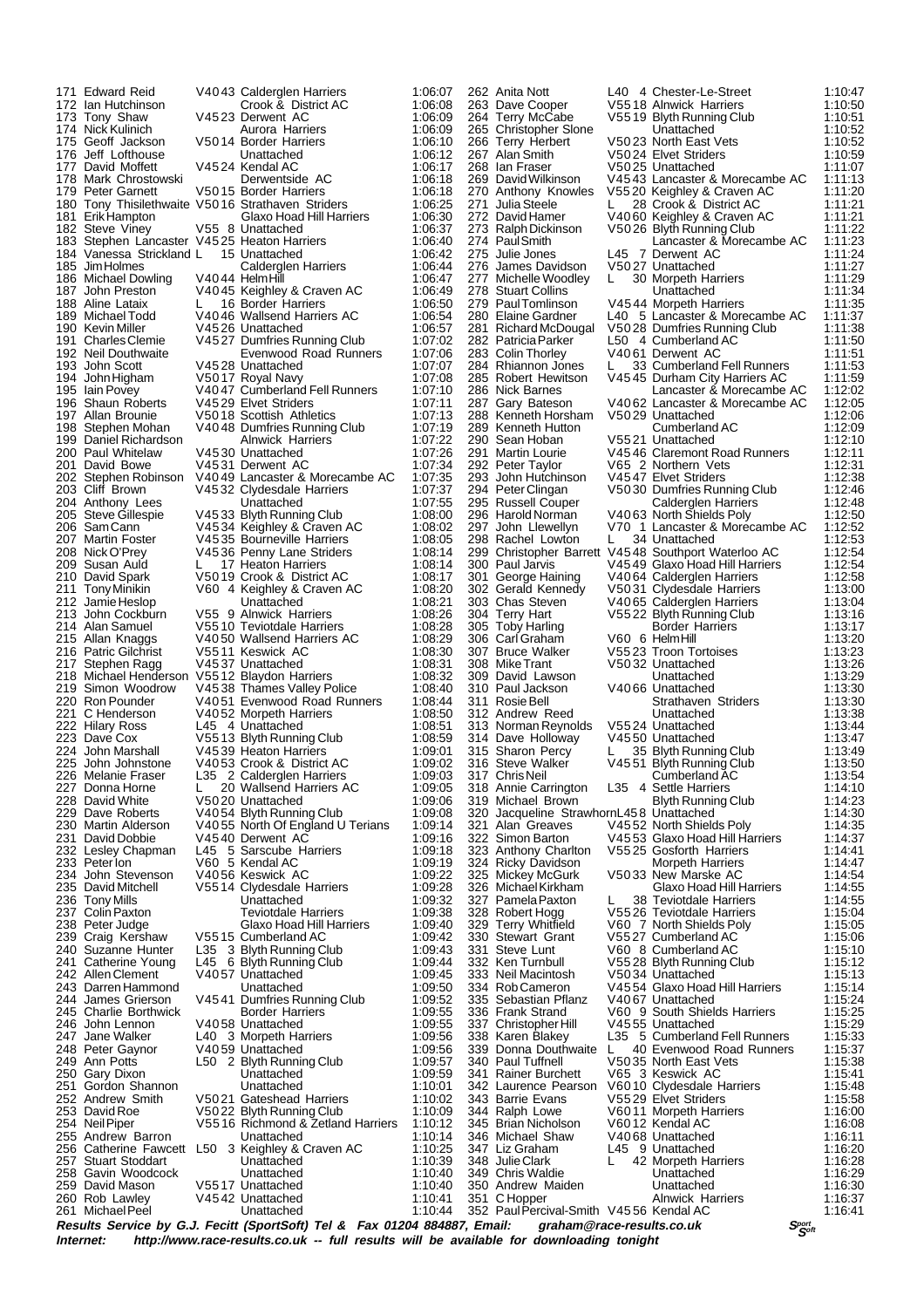175 Geoff Jackson V50 14 Border Harriers<br>176 Jeff Lofthouse Unattached 196 Shaun Roberts V45 29 Elvet Striders<br>197 Allan Brounie V50 18 Scottish Athle 208 Nick O'Prey V45 36 Penny Lane Striders<br>209 Susan Auld 1:017 Heaton Harriers 250 Gary Dixon<br>251 Gordon Shannon Unattached<br>251 Gordon Shannon Unattached 261 Michael Peel

171 Edward Reid V40 43 Calderglen Harriers 1:06:07<br>172 Ian Hutchinson Crook & District AC 1:06:08 172 Ian Hutchinson Crook & District AC 1:06:08 173 Tony Shaw W45 23 Derwent AC 1:06:09<br>174 Nick Kulinich Murora Harriers 1:06:09 174 Nick Kulinich **Aurora Harriers** 1:06:09<br>175 Geoff Jackson 175 Aurora Harriers 1:06:10 175 Geoff Jackson 176 US014 Border Harriers 1:06:10<br>176 Jeff Lofthouse 1:06:12<br>177 David Moffett 1:06:12<br>106:17 177 David Moffett V45 24 Kendal AC 1:06:17<br>178 Mark Chrostowski Derwentside AC 1:06:18 178 Mark Chrostowski **Derwentside AC** 1:06:18<br>179 Peter Garnett 1:06:18 Norder Harriers 1:06:18 179 Peter Garnett V5015 Border Harriers 1:06:18<br>180 Tony Thisilethwaite V5016 Strathaven Striders 1:06:25 180 Tony Thisilethwaite V50 16 Strathaven Striders 1:06:25<br>181 Erik Hampton Claxo Hoad Hill Harriers 1:06:30 181 Erik Hampton **Glaxo Hoad Hill Harriers** 1:06:30<br>182 Steve Vinev 1:06:37 Steve Vinev 1:06:37 182 Steve Viney 1955 8 Unattached 1:06:37<br>183 Stephen Lancaster V4525 Heaton Harriers 1:06:37 183 Stephen Lancaster V45 25 Heaton Harriers 1:06:40<br>184 Vanessa Strickland L 15 Unattached 1:06:42 184 Vanessa Strickland L 15 Unattached 1:06:42<br>185 Jim Holmes Calderglen Harriers 1:06:44 185 Jim Holmes Calderglen Harriers 1:06:44<br>186 Michael Dowling V4044 Helm Hill 1:06:47 186 Michael Dowling V40 44 Helm Hill 1:06:47<br>187 John Preston 1:06:47 V40 45 Keighley & Craven AC 1:06:49 187 John Preston V40 45 Keighley & Craven AC 1:06:49 188 Aline Lataix L 16 Border Harriers 1:06:50 189 Michael Todd V40 46 Wallsend Harriers AC 1:06:54<br>190 Kevin Miller V45 26 Unattached 1:06:57 190 Kevin Miller V45 26 Unattached 1:06:57 191 Charles Clemie V45 27 Dumfries Running Club 1:07:02<br>192 Neil Douthwaite Evenwood Road Runners 1:07:06 192 Neil Douthwaite The Evenwood Road Runners<br>192 Neil Douthwaite V4528 Unattached 1:07:07<br>1:07:07 1:07:07 193 John Scott V45 28 Unattached 1:07:07<br>194 John Higham V50 17 Royal Navy 1:07:08 194 John Higham V5017 Royal Navy 1:07:08<br>195 Iain Povey V4047 Cumberland Fell Runners 1:07:10 195 Iain Povey 196 V40 47 Cumberland Fell Runners 1:07:10<br>196 Shaun Roberts V45 29 Elvet Striders 1:07:11<br>197 Allan Brounie 1:050 18 Scottish Athletics 1:07:13 197 Allan Brounie 197 V50 18 Scottish Athletics 1:07:13<br>198 Stephen Mohan 199 Numfries Running Club 1:07:19 198 Stephen Mohan V40 48 Dumfries Running Club 1:07:19<br>199 Daniel Richardson Alnwick Harriers 1:07:22 199 Daniel Richardson Alnwick Harriers 1:07:22 200 Paul Whitelaw V45 30 Unattached 1:07:26 201 David Bowe V45 31 Derwent AC 1:07:34<br>202 Stephen Robinson V40 49 Lancaster & Morecambe AC 1:07:35<br>203 Cliff Brown V45 32 Clydesdale Harriers 1:07:37 202 Stephen Robinson V40 49 Lancaster & Morecambe AC 1:07:35 203 Cliff Brown V45 32 Clydesdale Harriers 1:07:37 204 Anthony Lees Unattached 1:07:55<br>205 Steve Gillespie V4533 Blyth Running Club 1:07:55 205 Steve Gillespie V45 33 Blyth Running Club 1:08:00 206 Sam Cann V45 34 Keighley & Craven AC 1:08:02 207 Martin Foster V45 35 Bourneville Harriers 1:08:05<br>208 Nick O'Prey V45 36 Penny Lane Striders 1:08:14<br>209 Susan Auld L 17 Heaton Harriers 1:08:14 209 Susan Auld L 17 Heaton Harriers 1:08:14<br>210 David Spark V5019 Crook & District AC 1:08:17 210 David Spark  $\overline{V}$ 50 19 Crook & District AC 1:08:17<br>
211 Tony Minikin V60 4 Keighlev & Craven AC 1:08:20 211 Tony Minikin V60 4 Keighley & Craven AC 1:08:20 212 Jamie Heslop Unattached 1:08:21 213 John Cockburn V55 9 Alnwick Harriers 1:08:26 214 Alan Samuel V5510 Teviotdale Harriers 1:08:28<br>215 Allan Knaggs V4050 Wallsend Harriers AC 1:08:29 215 Allan Knaggs V40 50 Wallsend Harriers AC 1:08:29 216 Patric Gilchrist V55 11 Keswick AC 1:08:30 217 Stephen Ragg V45 37 Unattached 1:08:31<br>218 Michael Henderson V55 12 Blaydon Harriers 1:08:32 218 Michael Henderson V55 12 Blaydon Harriers 1:08:32 219 Simon Woodrow V45 38 Thames Valley Police 1:08:40<br>220 Ron Pounder V40 51 Evenwood Road Runners 1:08:44 220 Ron Pounder V40 51 Evenwood Road Runners 1:08:44 221 C Henderson V40 52 Morpeth Harriers 1:08:50<br>222 Hilary Ross L45 4 Unattached 1:08:51 222 Hilary Ross L45 4 Unattached 1:08:51<br>223 Dave Cox V5513 Blyth Running Club 1:08:59 223 Dave Cox V55 13 Blyth Running Club 1:08:59 224 John Marshall V45 39 Heaton Harriers 1:09:01 225 John Johnstone V40 53 Crook & District AC 1:09:02 226 Melanie Fraser L35 2 Calderglen Harriers 1:09:03 227 Donna Horne L 20 Wallsend Harriers AC 1:09:05 228 David White V50 20 Unattached 1:09:06<br>229 Dave Roberts V40 54 Blyth Running Club 1:09:08 229 Dave Roberts V40 54 Blyth Running Club 1:09:08 230 Martin Alderson V40 55 North Of England U Terians 1:09:14 231 David Dobbie V4540 Derwent AC 1:09:16<br>232 Lesley Chapman L45 5 Sarscube Harriers 1:09:18 232 Lesley Chapman L45 5 Sarscube Harriers 1:09:18 233 Peter Ion V60 5 Kendal AC 1:09:19 234 John Stevenson V40 56 Keswick AC 1:09:22 David Mitchell V55 14 Clydesdale Harriers<br>
Tony Mills Unattached<br>
Colin Paxton Teviotdale Harriers 236 Tony Mills Unattached 1:09:32 237 Colin Paxton Teviotdale Harriers 1:09:38 238 Peter Judge Glaxo Hoad Hill Harriers 1:09:40<br>239 Craig Kershaw V5515 Cumberland AC 1:09:42 239 Craig Kershaw V55 15 Cumberland AC 1:09:42 240 Suzanne Hunter L35 3 Blyth Running Club 1:09:43<br>241 Catherine Young L45 6 Blyth Running Club 1:09:44 241 Catherine Young L45 6 Blyth Running Club 1:09:44<br>242 Allen Clement V4057 Unattached 1:09:45 242 Allen Clement  $\sim$  V40 57 Unattached  $\sim$  1:09:45<br>243 Darren Hammond Inattached 1:09:50 243 Darren Hammond Unattached 1:09:50<br>244 James Grierson V4541 Dumfries Running Club 1:09:52 244 James Grierson V45 41 Dumfries Running Club 1:09:52 245 Charlie Borthwick Border Harriers 1:09:55<br>246 John Lennon V4058 Unattached 1:09:55 246 John Lennon V40 58 Unattached 1:09:55<br>247 Jane Walker L40 3 Morpeth Harriers 1:09:56 247 Jane Walker L40 3 Morpeth Harriers 1:09:56<br>248 Peter Gaynor V4059 Unattached 1:09:56<br>249 Ann Potts L50 2 Blyth Running Club 1:09:57 248 Peter Gaynor V40 59 Unattached 1:09:56 249 Ann Potts L50 2 Blyth Running Club 1:09:57 251 Gordon Shannon Unattached 1:10:01 252 Andrew Smith V50 21 Gateshead Harriers 1:10:02<br>253 David Roe V50 22 Blyth Running Club 1:10:09 253 David Roe V50 22 Blyth Running Club 1:10:09 254 Neil Piper V55 16 Richmond & Zetland Harriers 1:10:12 255 Andrew Barron Unattached 1:10:14 **256 Craven AC**<br>
Unattached 257 Stuart Stoddart Unattached 1:10:39 258 Gavin Woodcock Unattached 1:10:40 259 David Mason V55 17 Unattached 1:10:40 V45 42 Unattached 1:10:41<br>Unattached 1:10:44

347 Liz Graham L45 9 Unattached<br>348 Julie Clark L 42 Morpeth Ha

262 Anita Nott L40 4 Chester-Le-Street 1:10:47<br>263 Dave Cooper V5518 Alnwick Harriers 1:10:50<br>264 Terry McCabe V5519 Blyth Running Club 1:10:51 263 Dave Cooper V55 18 Alnwick Harriers 1:10:50 264 Terry McCabe V55 19 Blyth Running Club 1:10:51 265 Christopher Slone Unattached 1:10:52<br>110:52 - 266 Terry Herbert 1:52 V5023 North East Vets 1:10:52<br>110:59 - 1:10:59 V5024 Elvet Striders 1:10:59 266 Terry Herbert V50 23 North East Vets 1:10:52 267 Alan Smith V50 24 Elvet Striders 1:10:59 268 Ian Fraser 1980 25 Unattached 1:11:07<br>269 David Wilkinson 1:4543 Lancaster & Morecambe AC 1:11:13 269 David Wilkinson V45 43 Lancaster & Morecambe AC 1:11:13 270 Anthony Knowles V55 20 Keighley & Craven AC 1:11:20 271 Julia Steele L 28 Crook & District AC 1:11:21 272 David Hamer V40 60 Keighley & Craven AC 1:11:21 273 Ralph Dickinson V50 26 Blyth Running Club 1:11:22 274 Paul Smith Lancaster & Morecambe AC 1:11:23 275 Julie Jones L45 7 Derwent AC 1:11:24<br>276 James Davidson V50 27 Unattached 1:11:27 276 James Davidson V50 27 Unattached 1:11:27 277 Michelle Woodley L 30 Morpeth Harriers 1:11:29<br>278 Stuart Collins Unattached 1:11:34 278 Stuart Collins (278 Stuart Collins (278 Stuart Collins 1:11:34 Unattached 1:11:35 279 Paul Tomlinson V45 44 Morpeth Harriers 1:11:35<br>280 Elaine Gardner L40 5 Lancaster & Morecambe AC 1:11:37 280 Elaine Gardner L40 5 Lancaster & Morecambe AC 1:11:37 281 Richard McDougal V50 28 Dumfries Running Club 1:11:38<br>282 Patricia Parker 1.50 4 Cumberland AC 1:11:50 282 Patricia Parker L50 4 Cumberland AC 1:11:50<br>283 Colin Thorley V4061 Derwent AC 1:11:51 283 Colin Thorley V40 61 Derwent AC 1:11:51<br>284 Rhiannon Jones L 33 Cumberland Fell Runners 1:11:53 284 Rhiannon Jones L 33 Cumberland Fell Runners 1:11:53 285 Robert Hewitson V4545 Durham City Harriers AC 1:11:59 286 Nick Barnes Lancaster & Morecambe AC 1:12:02 287 Gary Bateson V40 62 Lancaster & Morecambe AC 1:12:05 287 Gary Bateson V4062 Lancaster & Morecambe AC 1:12:05<br>288 Kenneth Horsham V5029 Unattached 1:12:06<br>289 Kenneth Hutton Cumberland AC 1:12:09 289 Kenneth Hutton Cumberland AC 1:12:09 290 Sean Hoban 1:12:10<br>291 Martin Lourie 1945 46 Claremont Road Runners 1:12:11 291 Martin Lourie V45 46 Claremont Road Runners 1:12:11 292 Peter Taylor V65 2 Northern Vets 1:12:31<br>293 John Hutchinson V4547 Elvet Striders 1:12:38<br>294 Peter Clingan V50.30 Dumfries Running Club 1:12:46 293 John Hutchinson V45 47 Elvet Striders 1:12:38 294 Peter Clingan V50 30 Dumfries Running Club 1:12:46 295 Russell Couper Calderglen Harriers 1:12:48 296 Harold Norman V40 63 North Shields Poly 1:12:50 297 John Llewellyn V70 1 Lancaster & Morecambe AC 1:12:52 298 Rachel Lowton L 34 Unattached 1:12:53<br>299 Christopher Barrett V4548 Southport Waterloo AC 1:12:54 299 Christopher Barrett V45 48 Southport Waterloo AC 1:12:54 300 Paul Jarvis V45 49 Glaxo Hoad Hill Harriers 1:12:54 300 Chail Jarvis - 301 - 1045 49 Glaxo Hoad Hill Harriers 1:12:54<br>301 George Haining 1040 64 Calderglen Harriers 1:12:58<br>302 Gerald Kennedy 1050 31 Clydesdale Harriers 1:13:00 302 Gerald Kennedy V50 31 Clydesdale Harriers 1:13:00 303 Chas Steven V40 65 Calderglen Harriers 1:13:04<br>304 Terry Hart V55 22 Blyth Running Club 1:13:16 304 Terry Hart V55 22 Blyth Running Club 1:13:16<br>305 Toby Harling Border Harriers 1:13:17<br>306 Carl Graham V60 6 Helm Hill 1:13:20 305 Toby Harling Border Harriers 1:13:17 306 Carl Graham V60 6 Helm Hill 1:13:20 307 Bruce Walker V55 23 Troon Tortoises 1:13:23 308 Mike Trant V50 32 Unattached 1:13:26 309 David Lawson Unattached 1:13:29 310 Paul Jackson V40 66 Unattached 1:13:30<br>311 Rosie Bell Strathaven Striders 1:13:30 3113:30<br>3113:30 Rositached<br>3113:38 312 Andrew Reed Unattached 1:13:38 313 Norman Reynolds V55 24 Unattached 1:13:44 314 Dave Holloway V45 50 Unattached 1:13:47 315 Sharon Percy L 35 Blyth Running Club 1:13:49<br>316 Steve Walker V4551 Blyth Running Club 1:13:50 316 Steve Walker V45 51 Blyth Running Club 1:13:50 Cumberland AC 1:13:54<br>
L35 4 Settle Harriers 1:14:10 318 Annie Carrington L35 4 Settle Harriers 1:14:10 319 Michael Brown Blyth Running Club 1:14:23 320 Jacqueline StrawhornL45 8 Unattached 1:14:30<br>321 Alan Greaves 1:44552 North Shields Poly 1:14:35 321 Alan Greaves V45 52 North Shields Poly 1:14:35 322 Simon Barton V45 53 Glaxo Hoad Hill Harriers 1:14:37 323 Anthony Charlton V55 25 Gosforth Harriers 1:14:41 324 Ricky Davidson Morpeth Harriers 1:14:47<br>325 Mickey McGurk V5033 New Marske AC 1:14:54 325 Mickey McGurk V50 33 New Marske AC 1:14:54 Michael Kirkham Glaxo Hoad Hill Harriers<br>138 Teviotdale Harriers 1: 327 Pamela Paxton L 38 Teviotdale Harriers 1:14:55 328 Robert Hogg V55 26 Teviotdale Harriers 1:15:04 329 Terry Whitfield V60 7 North Shields Poly 1:15:05 330 Stewart Grant V55 27 Cumberland AC 1:15:06 331 Steve Lunt V60 8 Cumberland AC 1:15:10<br>332 Ken Turnbull V5528 Blyth Running Club 1:15:12 332 Ken Turnbull V55 28 Blyth Running Club 1:15:12 333 Neil Macintosh V50 34 Unattached 1:15:13 334 Rob Cameron V45 54 Glaxo Hoad Hill Harriers 1:15:14 335 Sebastian Pflanz V40 67 Unattached 1:15:24<br>336 Frank Strand V60 9 South Shields Harriers 1:15:25 336 Frank Strand V60 9 South Shields Harriers 1:15:25<br>337 Christopher Hill V45 55 Unattached 1:15:29 337 Christopher Hill V45 55 Unattached 1:15:29<br>338 Karen Blakey L35 5 Cumberland Fell Runners 1:15:33 338 Karen Blakey L35 5 Cumberland Fell Runners 1:15:33 339 Donna Douthwaite L 40 Evenwood Road Runners 1:15:37 340 Paul Tuffnell V50 35 North East Vets 1:15:38 341 Rainer Burchett V65 3 Keswick AC 1:15:41<br>342 Laurence Pearson V6010 Clydesdale Harriers 1:15:48 342 Laurence Pearson V6010 Clydesdale Harriers 1:15:48<br>343 Barrie Evans V5529 Elvet Striders 1:15:58 343 Barrie Evans V55 29 Elvet Striders 1:15:58<br>344 Ralph Lowe V6011 Morpeth Harriers 1:16:00 V60 11 Morpeth Harriers<br>V60 12 Kendal AC 345 Brian Nicholson V60 12 Kendal AC 1:16:08 346 Michael Shaw V40 68 Unattached 1:16:11 348 Julie Clark L 42 Morpeth Harriers 1:16:28 349 Chris Waldie Chris Waldie Chris Waldie Unattached 1:16:29<br>350 Andrew Maiden Unattached 1:16:30 350 Andrew Maiden Unattached 1:16:30 351 C Hopper **Alnwick Harriers** 1:16:37 352 Paul Percival-Smith V45 56 Kendal AC 1:16:41

**Results Service by G.J. Fecitt (SportSoft) Tel & Fax 01204 884887, Email: graham@race-results.co.uk Segetical Seget<br>Internet: http://www.race-results.co.uk -- full results will be available for downloading tonight** http://www.race-results.co.uk -- full results will be available for downloading tonight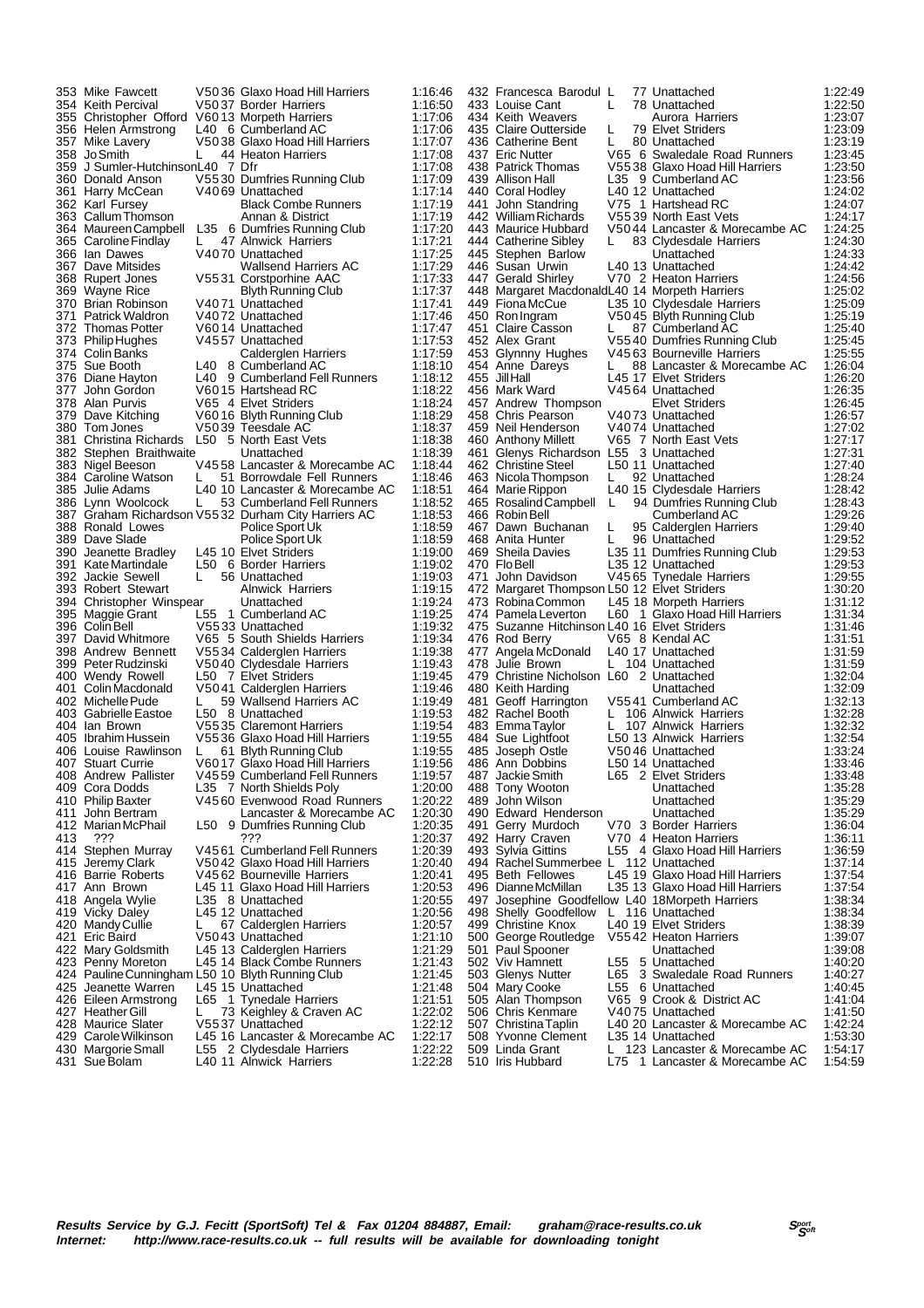|     | 353 Mike Fawcett                                 |    | V5036 Glaxo Hoad Hill Harriers                       | 1:16:46            |     | 432 Francesca Barodul L                         |     | 77 Unattached                                                    | 1:22:49            |
|-----|--------------------------------------------------|----|------------------------------------------------------|--------------------|-----|-------------------------------------------------|-----|------------------------------------------------------------------|--------------------|
|     | 354 Keith Percival                               |    | V5037 Border Harriers                                | 1:16:50            |     | 433 Louise Cant                                 | L   | 78 Unattached                                                    | 1:22:50            |
|     | 355 Christopher Offord                           |    | V6013 Morpeth Harriers                               | 1:17:06            |     | 434 Keith Weavers                               |     | Aurora Harriers                                                  | 1:23:07            |
|     |                                                  |    |                                                      |                    |     |                                                 |     |                                                                  |                    |
|     | 356 Helen Armstrong                              |    | L40 6 Cumberland AC                                  | 1:17:06            |     | 435 Claire Outterside                           | L   | 79 Elvet Striders                                                | 1:23:09            |
|     | 357 Mike Lavery                                  |    | V5038 Glaxo Hoad Hill Harriers                       | 1:17:07            |     | 436 Catherine Bent                              | L   | 80 Unattached                                                    | 1:23:19            |
|     | 358 JoSmith                                      | L. | 44 Heaton Harriers                                   | 1:17:08            |     | 437 Eric Nutter                                 |     | V65 6 Swaledale Road Runners                                     | 1:23:45            |
|     |                                                  |    |                                                      |                    |     |                                                 |     |                                                                  |                    |
|     | 359 J Sumler-HutchinsonL40 7 Dfr                 |    |                                                      | 1:17:08            |     | 438 Patrick Thomas                              |     | V5538 Glaxo Hoad Hill Harriers                                   | 1:23:50            |
|     | 360 Donald Anson                                 |    | V5530 Dumfries Running Club                          | 1:17:09            |     | 439 Allison Hall                                |     | L35 9 Cumberland AC                                              | 1:23:56            |
|     |                                                  |    |                                                      |                    |     |                                                 |     |                                                                  |                    |
|     | 361 Harry McCean                                 |    | V4069 Unattached                                     | 1:17:14            |     | 440 Coral Hodley                                |     | L40 12 Unattached                                                | 1:24:02            |
|     | 362 Karl Fursey                                  |    | <b>Black Combe Runners</b>                           | 1:17:19            | 441 | John Standring                                  |     | V75 1 Hartshead RC                                               | 1:24:07            |
|     |                                                  |    |                                                      |                    |     | 442 William Richards                            |     |                                                                  |                    |
|     | 363 Callum Thomson                               |    | Annan & District                                     | 1:17:19            |     |                                                 |     | V5539 North East Vets                                            | 1:24:17            |
|     | 364 Maureen Campbell                             |    | L35 6 Dumfries Running Club                          | 1:17:20            |     | 443 Maurice Hubbard                             |     | V5044 Lancaster & Morecambe AC                                   | 1:24:25            |
|     | 365 Caroline Findlay                             | L. | 47 Alnwick Harriers                                  | 1:17:21            |     | 444 Catherine Sibley                            |     | 83 Clydesdale Harriers                                           | 1:24:30            |
|     |                                                  |    |                                                      |                    |     |                                                 |     |                                                                  |                    |
|     | 366 Ian Dawes                                    |    | V4070 Unattached                                     | 1:17:25            |     | 445 Stephen Barlow                              |     | Unattached                                                       | 1:24:33            |
|     | 367 Dave Mitsides                                |    | Wallsend Harriers AC                                 | 1:17:29            |     | 446 Susan Urwin                                 |     | L40 13 Unattached                                                | 1:24:42            |
|     |                                                  |    |                                                      |                    |     |                                                 |     |                                                                  |                    |
|     | 368 Rupert Jones                                 |    | V5531 Corstporhine AAC                               | 1:17:33            |     | 447 Gerald Shirley                              |     | V70 2 Heaton Harriers                                            | 1:24:56            |
|     | 369 Wayne Rice                                   |    | Blyth Running Club                                   | 1:17:37            |     | 448 Margaret MacdonaldL40 14 Morpeth Harriers   |     |                                                                  | 1:25:02            |
|     | 370 Brian Robinson                               |    | V4071 Unattached                                     |                    |     | 449 Fiona McCue                                 |     |                                                                  | 1:25:09            |
|     |                                                  |    |                                                      | 1:17:41            |     |                                                 |     | L35 10 Clydesdale Harriers                                       |                    |
|     | 371 Patrick Waldron                              |    | V4072 Unattached                                     | 1:17:46            |     | 450 Ron Ingram                                  |     | V5045 Blyth Running Club                                         | 1:25:19            |
|     | 372 Thomas Potter                                |    | V6014 Unattached                                     | 1:17:47            |     | 451 Claire Casson                               | L.  | 87 Cumberland AC                                                 | 1:25:40            |
|     |                                                  |    |                                                      |                    |     |                                                 |     |                                                                  |                    |
|     | 373 Philip Hughes                                |    | V4557 Unattached                                     | 1:17:53            |     | 452 Alex Grant                                  |     | V5540 Dumfries Running Club                                      | 1:25:45            |
|     | 374   Colin Banks                                |    | Calderglen Harriers                                  | 1:17:59            |     | 453 Glynnny Hughes                              |     | V4563 Bourneville Harriers                                       | 1:25:55            |
|     | 375 Sue Booth                                    |    | L40 8 Cumberland AC                                  |                    |     | 454 Anne Dareys                                 |     | 88 Lancaster & Morecambe AC                                      |                    |
|     |                                                  |    |                                                      | 1:18:10            |     |                                                 | L   |                                                                  | 1:26:04            |
|     | 376 Diane Hayton                                 |    | L40 9 Cumberland Fell Runners                        | 1:18:12            |     | 455 Jill Hall                                   |     | L45 17 Elvet Striders                                            | 1:26:20            |
|     | 377 John Gordon                                  |    | V6015 Hartshead RC                                   | 1:18:22            |     | 456 Mark Ward                                   |     | V4564 Unattached                                                 | 1:26:35            |
|     |                                                  |    |                                                      |                    |     |                                                 |     |                                                                  |                    |
|     | 378 Alan Purvis                                  |    | V65 4 Elvet Striders                                 | 1:18:24            |     | 457 Andrew Thompson                             |     | Elvet Striders                                                   | 1:26:45            |
|     | 379 Dave Kitching                                |    | V6016 Blyth Running Club                             | 1:18:29            |     | 458 Chris Pearson                               |     | V4073 Unattached                                                 | 1:26:57            |
|     |                                                  |    |                                                      |                    |     |                                                 |     |                                                                  |                    |
|     | 380 Tom Jones                                    |    | V5039 Teesdale AC                                    | 1:18:37            |     | 459 Neil Henderson                              |     | V4074 Unattached                                                 | 1:27:02            |
|     | 381 Christina Richards                           |    | L50 5 North East Vets                                | 1:18:38            |     | 460 Anthony Millett                             |     | V65 7 North East Vets                                            | 1:27:17            |
|     |                                                  |    |                                                      |                    |     |                                                 |     |                                                                  |                    |
|     | 382 Stephen Braithwaite                          |    | Unattached                                           | 1:18:39            |     | 461 Glenys Richardson L55 3 Unattached          |     |                                                                  | 1:27:31            |
|     | 383 Nigel Beeson                                 |    | V4558 Lancaster & Morecambe AC                       | 1:18:44            |     | 462 Christine Steel                             |     | L50 11 Unattached                                                | 1:27:40            |
|     | 384 Caroline Watson                              | L  | 51 Borrowdale Fell Runners                           | 1:18:46            |     | 463 Nicola Thompson                             | L   | 92 Unattached                                                    | 1:28:24            |
|     |                                                  |    |                                                      |                    |     |                                                 |     |                                                                  |                    |
|     | 385  Julie Adams                                 |    | L40 10 Lancaster & Morecambe AC                      | 1:18:51            |     | 464 Marie Rippon                                |     | L40 15 Clydesdale Harriers                                       | 1:28:42            |
|     | 386 Lynn Woolcock                                | L. | 53 Cumberland Fell Runners                           | 1:18:52            |     | 465 Rosalind Campbell                           | L   | 94 Dumfries Running Club                                         | 1:28:43            |
|     |                                                  |    |                                                      |                    |     |                                                 |     |                                                                  |                    |
|     |                                                  |    | 387 Graham Richardson V5532 Durham City Harriers AC  | 1:18:53            |     | 466 Robin Bell                                  |     | Cumberland AC                                                    | 1:29:26            |
|     | 388 Ronald Lowes                                 |    | Police Sport Uk                                      | 1:18:59            |     | 467 Dawn Buchanan                               | L   | 95 Calderglen Harriers                                           | 1:29:40            |
|     | 389 Dave Slade                                   |    |                                                      | 1:18:59            |     | 468 Anita Hunter                                |     |                                                                  |                    |
|     |                                                  |    | Police Sport Uk                                      |                    |     |                                                 | L   | 96 Unattached                                                    | 1:29:52            |
|     | 390 Jeanette Bradley                             |    | L45 10 Elvet Striders                                | 1:19:00            |     | 469 Sheila Davies                               |     | L35 11 Dumfries Running Club                                     | 1:29:53            |
|     | 391 Kate Martindale                              |    | L50 6 Border Harriers                                | 1:19:02            |     | 470 FloBell                                     |     | L35 12 Unattached                                                | 1:29:53            |
|     |                                                  |    |                                                      |                    |     |                                                 |     |                                                                  |                    |
|     | 392 Jackie Sewell                                |    | 56 Unattached                                        | 1:19:03            |     | 471 John Davidson                               |     | V4565 Tynedale Harriers                                          | 1:29:55            |
|     | 393 Robert Stewart                               |    | <b>Alnwick Harriers</b>                              | 1:19:15            |     | 472 Margaret Thompson L50 12 Elvet Striders     |     |                                                                  | 1:30:20            |
|     |                                                  |    | Unattached                                           | 1:19:24            |     | 473 Robina Common                               |     |                                                                  | 1:31:12            |
|     | 394 Christopher Winspear                         |    |                                                      |                    |     |                                                 |     | L45 18 Morpeth Harriers                                          |                    |
|     | 395 Maggie Grant                                 |    | L55 1 Cumberland AC                                  | 1:19:25            |     | 474 Pamela Leverton                             | L60 | 1 Glaxo Hoad Hill Harriers                                       | 1:31:34            |
|     | 396 Colin Bell                                   |    | V5533 Unattached                                     | 1:19:32            |     | 475 Suzanne Hitchinson L40 16 Elvet Striders    |     |                                                                  | 1:31:46            |
|     |                                                  |    |                                                      |                    |     |                                                 |     |                                                                  |                    |
|     | 397 David Whitmore                               |    | V65 5 South Shields Harriers                         | 1:19:34            |     | 476 Rod Berry                                   |     | V65 8 Kendal AC                                                  | 1:31:51            |
|     | 398 Andrew Bennett                               |    | V5534 Calderglen Harriers                            | 1:19:38            |     | 477 Angela McDonald                             |     | L40 17 Unattached                                                | 1:31:59            |
|     | 399 Peter Rudzinski                              |    | V5040 Clydesdale Harriers                            | 1:19:43            |     | 478 Julie Brown                                 |     | L 104 Unattached                                                 | 1:31:59            |
|     |                                                  |    |                                                      |                    |     |                                                 |     |                                                                  |                    |
|     | 400 Wendy Rowell                                 |    | L50 7 Elvet Striders                                 | 1:19:45            |     | 479 Christine Nicholson L60 2 Unattached        |     |                                                                  | 1:32:04            |
|     | 401 Colin Macdonald                              |    | V5041 Calderglen Harriers                            | 1:19:46            |     | 480 Keith Harding                               |     | Unattached                                                       | 1:32:09            |
|     |                                                  |    |                                                      |                    |     |                                                 |     |                                                                  |                    |
|     | 402 Michelle Pude                                | L. | 59 Wallsend Harriers AC                              | 1:19:49            |     | 481 Geoff Harrington                            |     | V5541 Cumberland AC                                              | 1:32:13            |
|     | 403 Gabrielle Eastoe                             |    | L50 8 Unattached                                     | 1:19:53            |     | 482 Rachel Booth                                |     | L 106 Alnwick Harriers                                           | 1:32:28            |
|     | 404 Ian Brown                                    |    | V5535 Claremont Harriers                             | 1:19:54            |     |                                                 |     | L 107 Alnwick Harriers                                           | 1:32:32            |
|     |                                                  |    |                                                      |                    |     | 483 EmmaTaylor                                  |     |                                                                  |                    |
|     | 405 Ibrahim Hussein                              |    | V5536 Glaxo Hoad Hill Harriers                       | 1:19:55            | 484 | Sue Lightfoot                                   |     | L50 13 Alnwick Harriers                                          | 1:32:54            |
|     | 406 Louise Rawlinson                             | L. | 61 Blyth Running Club                                | 1:19:55            |     | 485 Joseph Ostle                                |     | V5046 Unattached                                                 | 1:33:24            |
|     |                                                  |    |                                                      |                    |     |                                                 |     |                                                                  |                    |
|     | 407 Stuart Currie                                |    | V6017 Glaxo Hoad Hill Harriers                       | 1:19:56            |     | 486 Ann Dobbins                                 |     | L50 14 Unattached                                                | 1:33:46            |
|     | 408 Andrew Pallister                             |    | V4559 Cumberland Fell Runners                        | 1:19:57            |     | 487 Jackie Smith                                |     | L65 2 Elvet Striders                                             | 1:33:48            |
|     | 409 Cora Dodds                                   |    | L35 7 North Shields Poly                             | 1:20:00            |     |                                                 |     | Unattached                                                       | 1:35:28            |
|     |                                                  |    |                                                      |                    |     |                                                 |     |                                                                  |                    |
|     |                                                  |    |                                                      |                    |     | 488 Tony Wooton                                 |     |                                                                  |                    |
| 411 | 410 Philip Baxter                                |    | V4560 Evenwood Road Runners                          | 1:20:22            |     | 489 John Wilson                                 |     | Unattached                                                       | 1:35:29            |
|     |                                                  |    |                                                      |                    |     |                                                 |     |                                                                  |                    |
|     | John Bertram                                     |    | Lancaster & Morecambe AC                             | 1:20:30            |     | 490 Edward Henderson                            |     | Unattached                                                       | 1:35:29            |
|     | 412 Marian McPhail                               |    | L50 9 Dumfries Running Club                          | 1:20:35            |     | 491 Gerry Murdoch                               |     | V70 3 Border Harriers                                            | 1:36:04            |
|     |                                                  |    |                                                      |                    |     |                                                 |     | V70 4 Heaton Harriers                                            |                    |
| 413 | ???                                              |    | ???                                                  | 1:20:37            |     | 492 Harry Craven                                |     |                                                                  | 1:36:11            |
|     | 414 Stephen Murray                               |    | V4561 Cumberland Fell Runners                        | 1:20:39            |     | 493 Sylvia Gittins                              |     | L55 4 Glaxo Hoad Hill Harriers                                   | 1:36:59            |
|     | 415 Jeremy Clark                                 |    | V5042 Glaxo Hoad Hill Harriers                       | 1:20:40            |     | 494 Rachel Summerbee L 112 Unattached           |     |                                                                  | 1:37:14            |
|     | 416 Barrie Roberts                               |    |                                                      |                    |     | 495 Beth Fellowes                               |     | L45 19 Glaxo Hoad Hill Harriers                                  |                    |
|     |                                                  |    | V4562 Bourneville Harriers                           | 1:20:41            |     |                                                 |     |                                                                  | 1:37:54            |
|     | 417 Ann Brown                                    |    | L45 11 Glaxo Hoad Hill Harriers                      | 1:20:53            |     | 496 Dianne McMillan                             |     | L35 13 Glaxo Hoad Hill Harriers                                  | 1:37:54            |
|     | 418 Angela Wylie                                 |    | L35 8 Unattached                                     | 1:20:55            |     |                                                 |     |                                                                  | 1:38:34            |
|     |                                                  |    |                                                      |                    |     | 497 Josephine Goodfellow L40 18Morpeth Harriers |     |                                                                  |                    |
|     | 419 Vicky Daley                                  |    | L45 12 Unattached                                    | 1:20:56            |     | 498 Shelly Goodfellow                           |     | L 116 Unattached                                                 | 1:38:34            |
|     | 420 Mandy Cullie                                 |    | 67 Calderglen Harriers                               | 1:20:57            |     | 499 Christine Knox                              |     | L40 19 Elvet Striders                                            | 1:38:39            |
|     |                                                  |    |                                                      |                    |     |                                                 |     |                                                                  |                    |
|     | 421 Eric Baird                                   |    | V5043 Unattached                                     | 1:21:10            |     | 500 George Routledge                            |     | V5542 Heaton Harriers                                            | 1:39:07            |
|     | 422 Mary Goldsmith                               |    | L45 13 Calderglen Harriers                           | 1:21:29            |     | 501 Paul Spooner                                |     | Unattached                                                       | 1:39:08            |
|     |                                                  |    | L45 14 Black Combe Runners                           | 1:21:43            |     | 502 Viv Hamnett                                 | L55 | 5 Unattached                                                     |                    |
|     | 423 Penny Moreton                                |    |                                                      |                    |     |                                                 |     |                                                                  | 1:40:20            |
|     | 424 Pauline Cunningham L50 10 Blyth Running Club |    |                                                      | 1:21:45            |     | 503 Glenys Nutter                               | L65 | 3 Swaledale Road Runners                                         | 1:40:27            |
|     | 425 Jeanette Warren                              |    | L45 15 Unattached                                    | 1:21:48            |     | 504 Mary Cooke                                  | L55 | 6 Unattached                                                     | 1:40:45            |
|     |                                                  |    |                                                      |                    |     |                                                 |     |                                                                  |                    |
|     | 426 Eileen Armstrong                             |    | L65 1 Tynedale Harriers                              | 1:21:51            |     | 505 Alan Thompson                               |     | V65 9 Crook & District AC                                        | 1:41:04            |
|     | 427 Heather Gill                                 | L. | 73 Keighley & Craven AC                              | 1:22:02            |     | 506 Chris Kenmare                               |     | V4075 Unattached                                                 | 1:41:50            |
|     |                                                  |    |                                                      |                    |     |                                                 |     |                                                                  |                    |
|     | 428 Maurice Slater                               |    | V5537 Unattached                                     | 1:22:12            |     | 507 Christina Taplin                            |     | L40 20 Lancaster & Morecambe AC                                  | 1:42:24            |
|     | 429 Carole Wilkinson                             |    | L45 16 Lancaster & Morecambe AC                      | 1:22:17            |     | 508 Yvonne Clement                              |     | L35 14 Unattached                                                | 1:53:30            |
|     | 430 Margorie Small<br>431 Sue Bolam              |    | L55 2 Clydesdale Harriers<br>L40 11 Alnwick Harriers | 1:22:22<br>1:22:28 |     | 509 Linda Grant<br>510 Iris Hubbard             |     | L 123 Lancaster & Morecambe AC<br>L75 1 Lancaster & Morecambe AC | 1:54:17<br>1:54:59 |